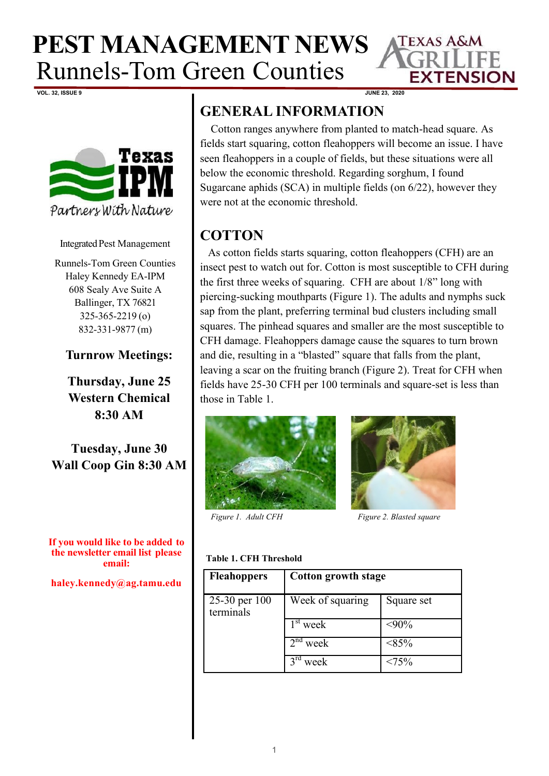

**VOL. 32, ISSUE 9 JUNE 23, 2020**



Integrated Pest Management

Runnels-Tom Green Counties Haley Kennedy EA-IPM 608 Sealy Ave Suite A Ballinger, TX 76821 325-365-2219 (o) 832-331-9877 (m)

### **Turnrow Meetings:**

**Thursday, June 25 Western Chemical 8:30 AM** 

**Tuesday, June 30 Wall Coop Gin 8:30 AM**

**If you would like to be added to the newsletter email list please email:**

 $h$ aley.kennedy@ag.tamu.edu

## **GENERAL INFORMATION**

Cotton ranges anywhere from planted to match-head square. As fields start squaring, cotton fleahoppers will become an issue. I have seen fleahoppers in a couple of fields, but these situations were all below the economic threshold. Regarding sorghum, I found Sugarcane aphids (SCA) in multiple fields (on 6/22), however they were not at the economic threshold.

## **COTTON**

As cotton fields starts squaring, cotton fleahoppers (CFH) are an insect pest to watch out for. Cotton is most susceptible to CFH during the first three weeks of squaring. CFH are about 1/8" long with piercing-sucking mouthparts (Figure 1). The adults and nymphs suck sap from the plant, preferring terminal bud clusters including small squares. The pinhead squares and smaller are the most susceptible to CFH damage. Fleahoppers damage cause the squares to turn brown and die, resulting in a "blasted" square that falls from the plant, leaving a scar on the fruiting branch (Figure 2). Treat for CFH when fields have 25-30 CFH per 100 terminals and square-set is less than those in Table 1.





*Figure 1. Adult CFH Figure 2. Blasted square*

#### **Table 1. CFH Threshold**

| <b>Fleahoppers</b>         | Cotton growth stage             |               |
|----------------------------|---------------------------------|---------------|
| 25-30 per 100<br>terminals | Week of squaring                | Square set    |
|                            | $\overline{1}^{\text{st}}$ week | $<$ 90%       |
|                            | 2 <sup>nd</sup><br>week         | $<\!\!85\!\%$ |
|                            | $3^{\text{ra}}$<br>week         | <75%          |